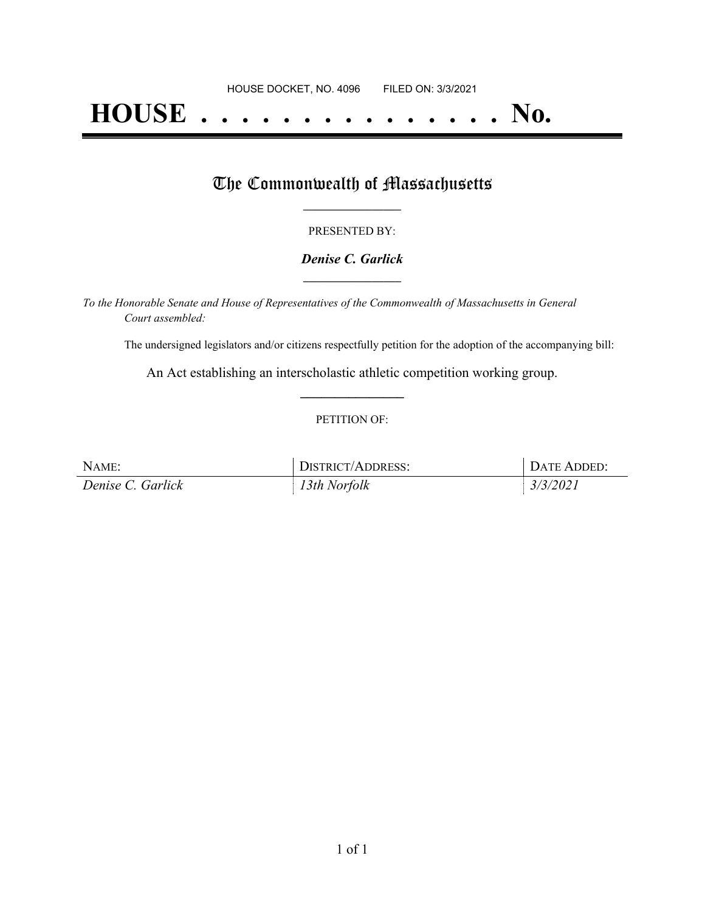# **HOUSE . . . . . . . . . . . . . . . No.**

## The Commonwealth of Massachusetts

#### PRESENTED BY:

#### *Denise C. Garlick* **\_\_\_\_\_\_\_\_\_\_\_\_\_\_\_\_\_**

*To the Honorable Senate and House of Representatives of the Commonwealth of Massachusetts in General Court assembled:*

The undersigned legislators and/or citizens respectfully petition for the adoption of the accompanying bill:

An Act establishing an interscholastic athletic competition working group. **\_\_\_\_\_\_\_\_\_\_\_\_\_\_\_**

#### PETITION OF:

| NAME:             | <b>DISTRICT/ADDRESS:</b> | <b>DATE ADDED:</b> |
|-------------------|--------------------------|--------------------|
| Denise C. Garlick | 13th Norfolk             | 3/3/2021           |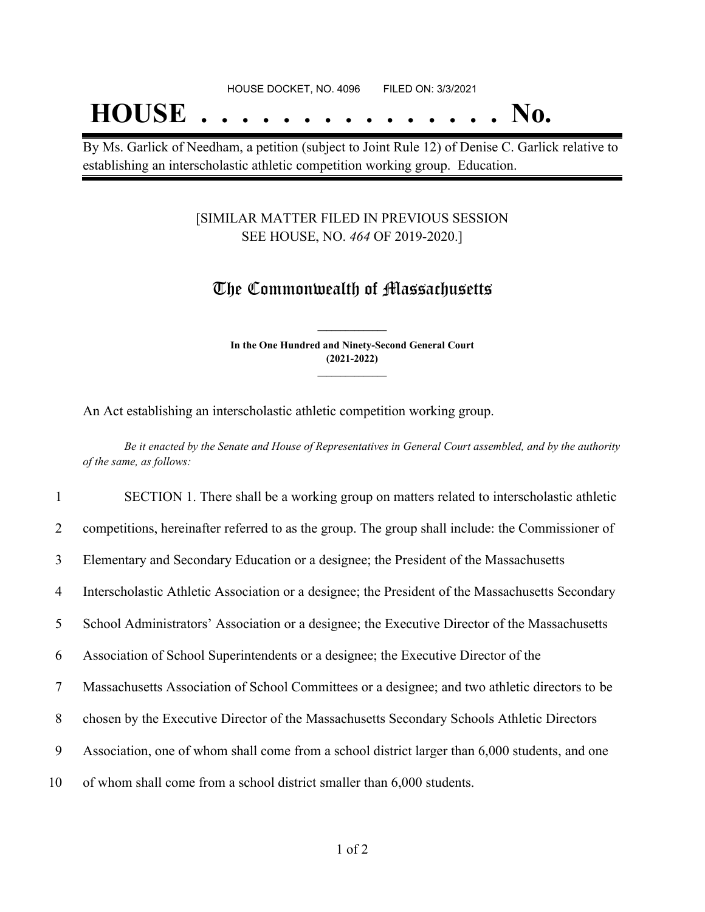## **HOUSE . . . . . . . . . . . . . . . No.**

By Ms. Garlick of Needham, a petition (subject to Joint Rule 12) of Denise C. Garlick relative to establishing an interscholastic athletic competition working group. Education.

### [SIMILAR MATTER FILED IN PREVIOUS SESSION SEE HOUSE, NO. *464* OF 2019-2020.]

### The Commonwealth of Massachusetts

**In the One Hundred and Ninety-Second General Court (2021-2022) \_\_\_\_\_\_\_\_\_\_\_\_\_\_\_**

**\_\_\_\_\_\_\_\_\_\_\_\_\_\_\_**

An Act establishing an interscholastic athletic competition working group.

Be it enacted by the Senate and House of Representatives in General Court assembled, and by the authority *of the same, as follows:*

 SECTION 1. There shall be a working group on matters related to interscholastic athletic competitions, hereinafter referred to as the group. The group shall include: the Commissioner of Elementary and Secondary Education or a designee; the President of the Massachusetts Interscholastic Athletic Association or a designee; the President of the Massachusetts Secondary School Administrators' Association or a designee; the Executive Director of the Massachusetts Association of School Superintendents or a designee; the Executive Director of the Massachusetts Association of School Committees or a designee; and two athletic directors to be chosen by the Executive Director of the Massachusetts Secondary Schools Athletic Directors Association, one of whom shall come from a school district larger than 6,000 students, and one of whom shall come from a school district smaller than 6,000 students.